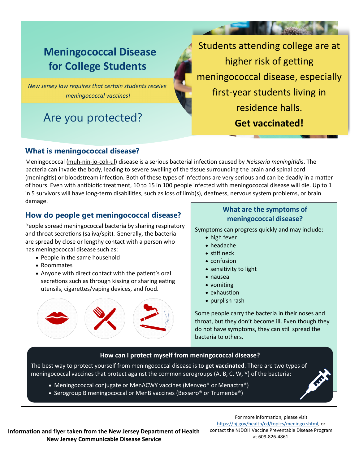# **Meningococcal Disease for College Students**

*New Jersey law requires that certain students receive meningococcal vaccines!*

# Are you protected?

Students attending college are at higher risk of getting meningococcal disease, especially first-year students living in residence halls. **Get vaccinated!**

## **What is meningococcal disease?**

Meningococcal [\(muh](http://www.merriam-webster.com/dictionary/meningococcal)-nin-jo-cok-ul) disease is a serious bacterial infection caused by *Neisseria meningitidis*. The bacteria can invade the body, leading to severe swelling of the tissue surrounding the brain and spinal cord (meningitis) or bloodstream infection. Both of these types of infections are very serious and can be deadly in a matter of hours. Even with antibiotic treatment, 10 to 15 in 100 people infected with meningococcal disease will die. Up to 1 in 5 survivors will have long-term disabilities, such as loss of limb(s), deafness, nervous system problems, or brain damage.

# **How do people get meningococcal disease?**

People spread meningococcal bacteria by sharing respiratory and throat secretions (saliva/spit). Generally, the bacteria are spread by close or lengthy contact with a person who has meningococcal disease such as:

- People in the same household
- Roommates
- Anyone with direct contact with the patient's oral secretions such as through kissing or sharing eating utensils, cigarettes/vaping devices, and food.



## **What are the symptoms of meningococcal disease?**

Symptoms can progress quickly and may include:

- high fever
- headache
- stiff neck
- confusion
- sensitivity to light
- nausea
- vomiting
- exhaustion
- purplish rash

Some people carry the bacteria in their noses and throat, but they don't become ill. Even though they do not have symptoms, they can still spread the bacteria to others.

## **How can I protect myself from meningococcal disease?**

The best way to protect yourself from meningococcal disease is to **get vaccinated**. There are two types of meningococcal vaccines that protect against the common serogroups (A, B, C, W, Y) of the bacteria:

- Meningococcal conjugate or MenACWY vaccines (Menveo® or Menactra®)
- Serogroup B meningococcal or MenB vaccines (Bexsero® or Trumenba®)

**Information and flyer taken from the New Jersey Department of Health New Jersey Communicable Disease Service**

For more information, please visit [https://nj.gov/health/cd/topics/meningo.shtml,](https://nj.gov/health/cd/topics/meningo.shtml) or contact the NJDOH Vaccine Preventable Disease Program at 609-826-4861.